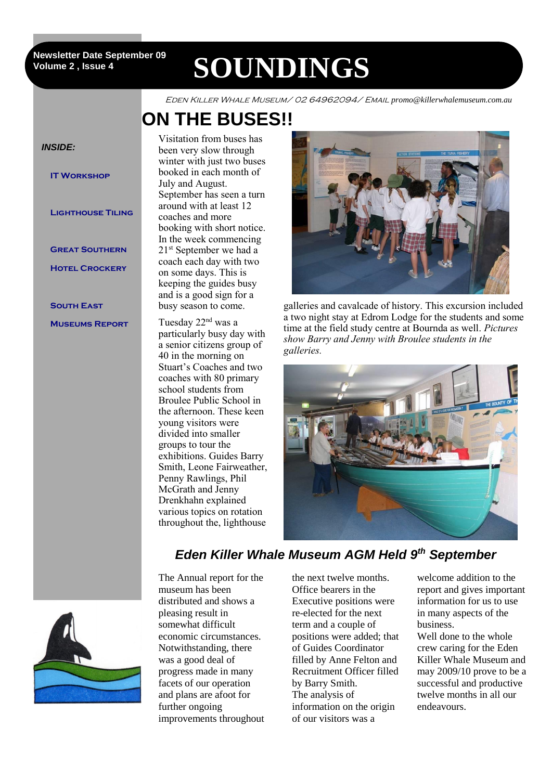2 **Volume 2 , Issue 4 Newsletter Date September 09**

# **SOUNDINGS**

Eden Killer Whale Museum/ 02 64962094/ Email *promo@killerwhalemuseum.com.au*

## **ON THE BUSES!!**



Visitation from buses has been very slow through winter with just two buses booked in each month of September has seen a turn around with at least 12 booking with short notice. In the week commencing 21<sup>st</sup> September we had a coach each day with two on some days. This is keeping the guides busy and is a good sign for a busy season to come.

particularly busy day with a senior citizens group of 40 in the morning on Stuart's Coaches and two coaches with 80 primary school students from Broulee Public School in the afternoon. These keen young visitors were divided into smaller groups to tour the exhibitions. Guides Barry Smith, Leone Fairweather, Penny Rawlings, Phil McGrath and Jenny Drenkhahn explained various topics on rotation throughout the, lighthouse



galleries and cavalcade of history. This excursion included a two night stay at Edrom Lodge for the students and some time at the field study centre at Bournda as well. *Pictures show Barry and Jenny with Broulee students in the galleries.*



### *Eden Killer Whale Museum AGM Held 9th September*



The Annual report for the museum has been distributed and shows a pleasing result in somewhat difficult economic circumstances. Notwithstanding, there was a good deal of progress made in many facets of our operation and plans are afoot for further ongoing improvements throughout

the next twelve months. Office bearers in the Executive positions were re-elected for the next term and a couple of positions were added; that of Guides Coordinator filled by Anne Felton and Recruitment Officer filled by Barry Smith. The analysis of information on the origin of our visitors was a

welcome addition to the report and gives important information for us to use in many aspects of the business.

Well done to the whole crew caring for the Eden Killer Whale Museum and may 2009/10 prove to be a successful and productive twelve months in all our endeavours.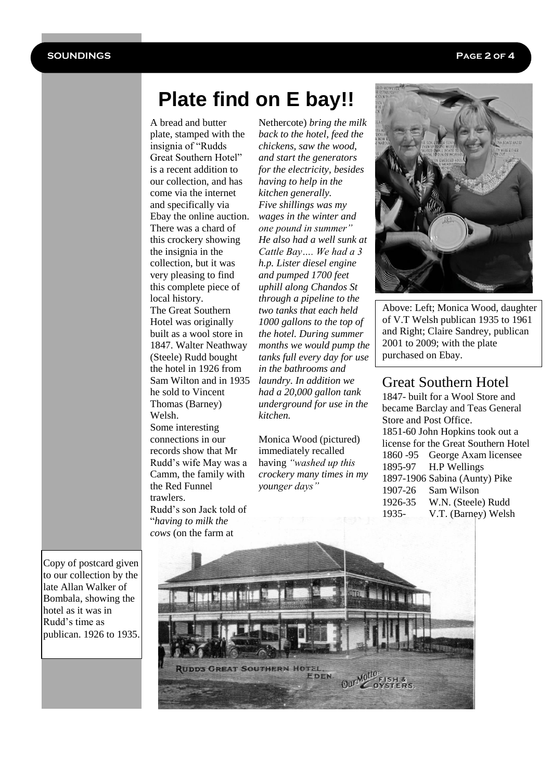### **Plate find on E bay!!**

A bread and butter plate, stamped with the insignia of "Rudds Great Southern Hotel" is a recent addition to our collection, and has come via the internet and specifically via Ebay the online auction. There was a chard of this crockery showing the insignia in the collection, but it was very pleasing to find this complete piece of local history. The Great Southern Hotel was originally built as a wool store in 1847. Walter Neathway (Steele) Rudd bought the hotel in 1926 from Sam Wilton and in 1935 he sold to Vincent Thomas (Barney) Welsh.

Some interesting connections in our records show that Mr Rudd's wife May was a Camm, the family with the Red Funnel trawlers. Rudd's son Jack told of "*having to milk the* 

Nethercote) *bring the milk back to the hotel, feed the chickens, saw the wood, and start the generators for the electricity, besides having to help in the kitchen generally. Five shillings was my wages in the winter and one pound in summer" He also had a well sunk at Cattle Bay…. We had a 3 h.p. Lister diesel engine and pumped 1700 feet uphill along Chandos St through a pipeline to the two tanks that each held 1000 gallons to the top of the hotel. During summer months we would pump the tanks full every day for use in the bathrooms and laundry. In addition we had a 20,000 gallon tank underground for use in the kitchen.*

Monica Wood (pictured) immediately recalled having *"washed up this crockery many times in my younger days"*



Above: Left; Monica Wood, daughter of V.T Welsh publican 1935 to 1961 and Right; Claire Sandrey, publican 2001 to 2009; with the plate purchased on Ebay.

#### Great Southern Hotel

1847- built for a Wool Store and became Barclay and Teas General Store and Post Office. 1851-60 John Hopkins took out a license for the Great Southern Hotel 1860 -95 George Axam licensee 1895-97 H.P Wellings 1897-1906 Sabina (Aunty) Pike 1907-26 Sam Wilson 1926-35 W.N. (Steele) Rudd 1935- V.T. (Barney) Welsh

Copy of postcard given to our collection by the late Allan Walker of Bombala, showing the hotel as it was in Rudd's time as publican. 1926 to 1935.

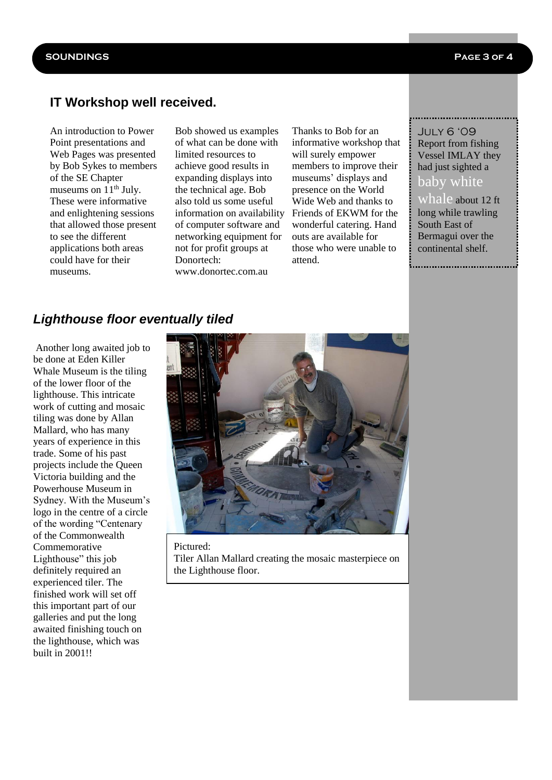#### **IT Workshop well received.**

An introduction to Power Point presentations and Web Pages was presented by Bob Sykes to members of the SE Chapter museums on  $11<sup>th</sup>$  July. These were informative and enlightening sessions that allowed those present to see the different applications both areas could have for their museums.

Bob showed us examples of what can be done with limited resources to achieve good results in expanding displays into the technical age. Bob also told us some useful information on availability of computer software and networking equipment for not for profit groups at Donortech: www.donortec.com.au

Thanks to Bob for an informative workshop that will surely empower members to improve their museums' displays and presence on the World Wide Web and thanks to Friends of EKWM for the wonderful catering. Hand outs are available for those who were unable to attend.

#### July 6 '09 Report from fishing Vessel IMLAY they had just sighted a

#### baby white

whale about 12 ft long while trawling South East of

Bermagui over the continental shelf.

*Lighthouse floor eventually tiled*

Another long awaited job to be done at Eden Killer Whale Museum is the tiling of the lower floor of the lighthouse. This intricate work of cutting and mosaic tiling was done by Allan Mallard, who has many years of experience in this trade. Some of his past projects include the Queen Victoria building and the Powerhouse Museum in Sydney. With the Museum's logo in the centre of a circle of the wording "Centenary of the Commonwealth Commemorative Lighthouse" this job definitely required an experienced tiler. The finished work will set off this important part of our galleries and put the long awaited finishing touch on the lighthouse, which was built in 2001!!



Pictured: Tiler Allan Mallard creating the mosaic masterpiece on the Lighthouse floor.